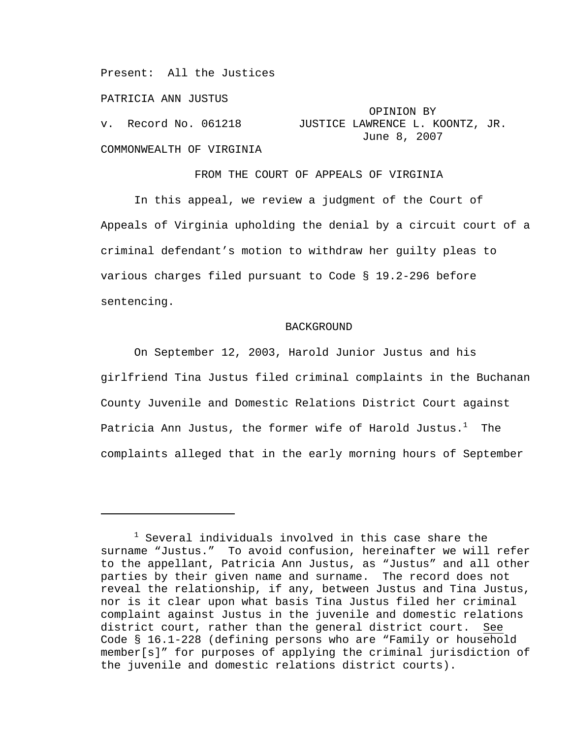Present: All the Justices

PATRICIA ANN JUSTUS

 $\overline{\phantom{0}}$ 

 OPINION BY v. Record No. 061218 JUSTICE LAWRENCE L. KOONTZ, JR. June 8, 2007

COMMONWEALTH OF VIRGINIA

FROM THE COURT OF APPEALS OF VIRGINIA

In this appeal, we review a judgment of the Court of Appeals of Virginia upholding the denial by a circuit court of a criminal defendant's motion to withdraw her guilty pleas to various charges filed pursuant to Code § 19.2-296 before sentencing.

## BACKGROUND

On September 12, 2003, Harold Junior Justus and his girlfriend Tina Justus filed criminal complaints in the Buchanan County Juvenile and Domestic Relations District Court against Patricia Ann Justus, the former wife of Harold Justus. $^1$  The complaints alleged that in the early morning hours of September

 $^{\rm 1}$  Several individuals involved in this case share the surname "Justus." To avoid confusion, hereinafter we will refer to the appellant, Patricia Ann Justus, as "Justus" and all other parties by their given name and surname. The record does not reveal the relationship, if any, between Justus and Tina Justus, nor is it clear upon what basis Tina Justus filed her criminal complaint against Justus in the juvenile and domestic relations district court, rather than the general district court. See Code § 16.1-228 (defining persons who are "Family or household member[s]" for purposes of applying the criminal jurisdiction of the juvenile and domestic relations district courts).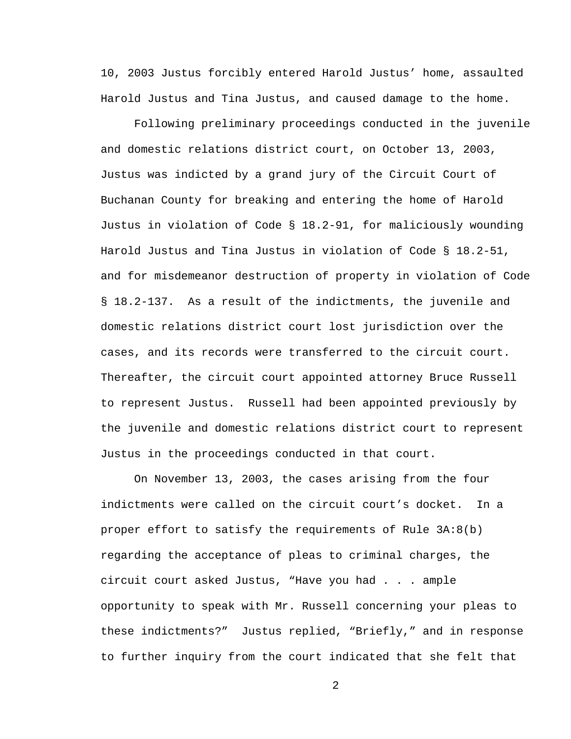10, 2003 Justus forcibly entered Harold Justus' home, assaulted Harold Justus and Tina Justus, and caused damage to the home.

Following preliminary proceedings conducted in the juvenile and domestic relations district court, on October 13, 2003, Justus was indicted by a grand jury of the Circuit Court of Buchanan County for breaking and entering the home of Harold Justus in violation of Code § 18.2-91, for maliciously wounding Harold Justus and Tina Justus in violation of Code § 18.2-51, and for misdemeanor destruction of property in violation of Code § 18.2-137. As a result of the indictments, the juvenile and domestic relations district court lost jurisdiction over the cases, and its records were transferred to the circuit court. Thereafter, the circuit court appointed attorney Bruce Russell to represent Justus. Russell had been appointed previously by the juvenile and domestic relations district court to represent Justus in the proceedings conducted in that court.

On November 13, 2003, the cases arising from the four indictments were called on the circuit court's docket. In a proper effort to satisfy the requirements of Rule 3A:8(b) regarding the acceptance of pleas to criminal charges, the circuit court asked Justus, "Have you had . . . ample opportunity to speak with Mr. Russell concerning your pleas to these indictments?" Justus replied, "Briefly," and in response to further inquiry from the court indicated that she felt that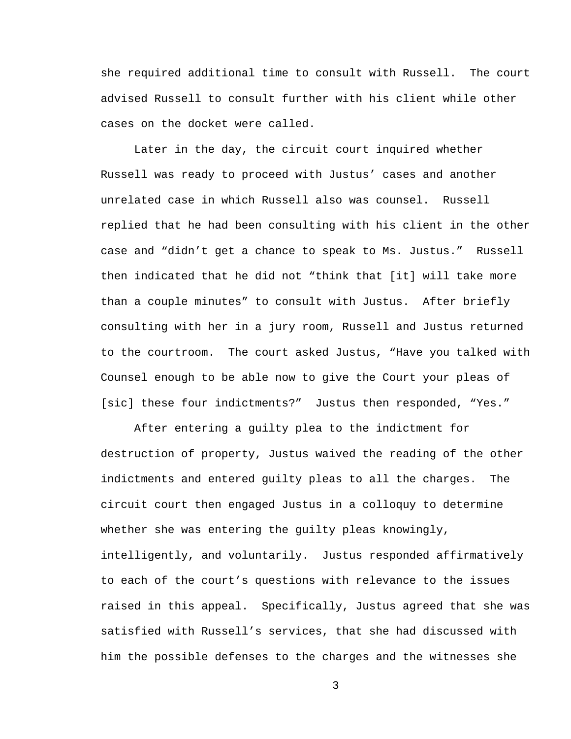she required additional time to consult with Russell. The court advised Russell to consult further with his client while other cases on the docket were called.

Later in the day, the circuit court inquired whether Russell was ready to proceed with Justus' cases and another unrelated case in which Russell also was counsel. Russell replied that he had been consulting with his client in the other case and "didn't get a chance to speak to Ms. Justus." Russell then indicated that he did not "think that [it] will take more than a couple minutes" to consult with Justus. After briefly consulting with her in a jury room, Russell and Justus returned to the courtroom. The court asked Justus, "Have you talked with Counsel enough to be able now to give the Court your pleas of [sic] these four indictments?" Justus then responded, "Yes."

After entering a guilty plea to the indictment for destruction of property, Justus waived the reading of the other indictments and entered guilty pleas to all the charges. The circuit court then engaged Justus in a colloquy to determine whether she was entering the guilty pleas knowingly, intelligently, and voluntarily. Justus responded affirmatively to each of the court's questions with relevance to the issues raised in this appeal. Specifically, Justus agreed that she was satisfied with Russell's services, that she had discussed with him the possible defenses to the charges and the witnesses she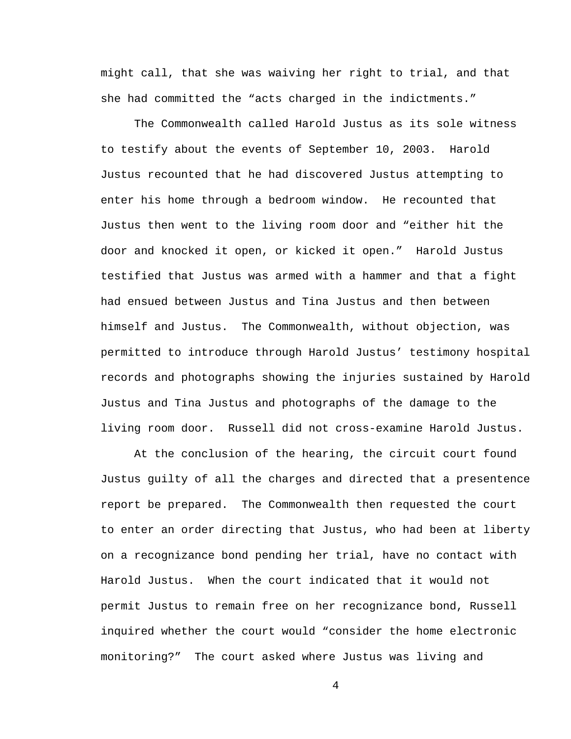might call, that she was waiving her right to trial, and that she had committed the "acts charged in the indictments."

The Commonwealth called Harold Justus as its sole witness to testify about the events of September 10, 2003. Harold Justus recounted that he had discovered Justus attempting to enter his home through a bedroom window. He recounted that Justus then went to the living room door and "either hit the door and knocked it open, or kicked it open." Harold Justus testified that Justus was armed with a hammer and that a fight had ensued between Justus and Tina Justus and then between himself and Justus. The Commonwealth, without objection, was permitted to introduce through Harold Justus' testimony hospital records and photographs showing the injuries sustained by Harold Justus and Tina Justus and photographs of the damage to the living room door. Russell did not cross-examine Harold Justus.

At the conclusion of the hearing, the circuit court found Justus guilty of all the charges and directed that a presentence report be prepared. The Commonwealth then requested the court to enter an order directing that Justus, who had been at liberty on a recognizance bond pending her trial, have no contact with Harold Justus. When the court indicated that it would not permit Justus to remain free on her recognizance bond, Russell inquired whether the court would "consider the home electronic monitoring?" The court asked where Justus was living and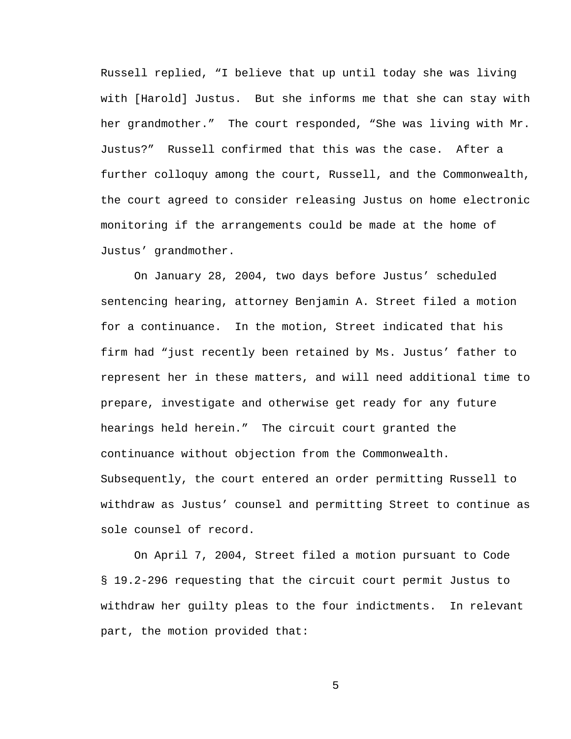Russell replied, "I believe that up until today she was living with [Harold] Justus. But she informs me that she can stay with her grandmother." The court responded, "She was living with Mr. Justus?" Russell confirmed that this was the case. After a further colloquy among the court, Russell, and the Commonwealth, the court agreed to consider releasing Justus on home electronic monitoring if the arrangements could be made at the home of Justus' grandmother.

On January 28, 2004, two days before Justus' scheduled sentencing hearing, attorney Benjamin A. Street filed a motion for a continuance. In the motion, Street indicated that his firm had "just recently been retained by Ms. Justus' father to represent her in these matters, and will need additional time to prepare, investigate and otherwise get ready for any future hearings held herein." The circuit court granted the continuance without objection from the Commonwealth. Subsequently, the court entered an order permitting Russell to withdraw as Justus' counsel and permitting Street to continue as sole counsel of record.

On April 7, 2004, Street filed a motion pursuant to Code § 19.2-296 requesting that the circuit court permit Justus to withdraw her guilty pleas to the four indictments. In relevant part, the motion provided that: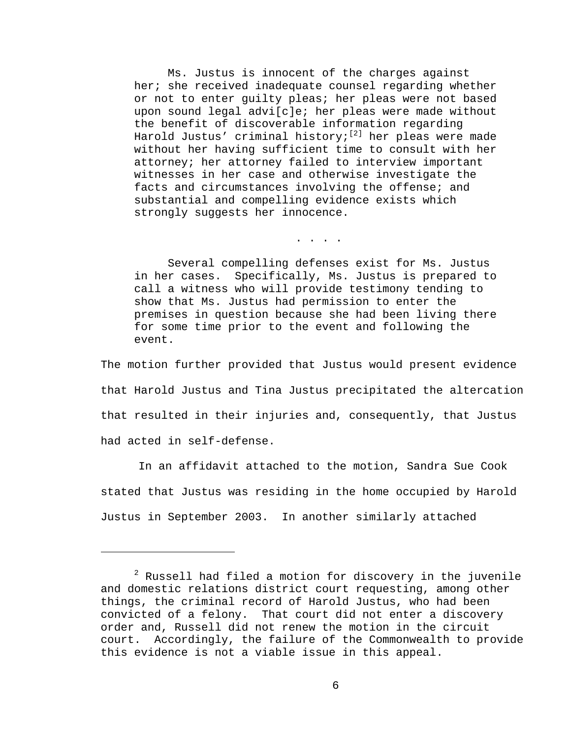Ms. Justus is innocent of the charges against her; she received inadequate counsel regarding whether or not to enter guilty pleas; her pleas were not based upon sound legal advi[c]e; her pleas were made without the benefit of discoverable information regarding Harold Justus' criminal history;<sup>[2]</sup> her pleas were made without her having sufficient time to consult with her attorney; her attorney failed to interview important witnesses in her case and otherwise investigate the facts and circumstances involving the offense; and substantial and compelling evidence exists which strongly suggests her innocence.

. . . .

 Several compelling defenses exist for Ms. Justus in her cases. Specifically, Ms. Justus is prepared to call a witness who will provide testimony tending to show that Ms. Justus had permission to enter the premises in question because she had been living there for some time prior to the event and following the event.

The motion further provided that Justus would present evidence that Harold Justus and Tina Justus precipitated the altercation that resulted in their injuries and, consequently, that Justus had acted in self-defense.

In an affidavit attached to the motion, Sandra Sue Cook stated that Justus was residing in the home occupied by Harold Justus in September 2003. In another similarly attached

i<br>Li

 $^2$  Russell had filed a motion for discovery in the juvenile and domestic relations district court requesting, among other things, the criminal record of Harold Justus, who had been convicted of a felony. That court did not enter a discovery order and, Russell did not renew the motion in the circuit court. Accordingly, the failure of the Commonwealth to provide this evidence is not a viable issue in this appeal.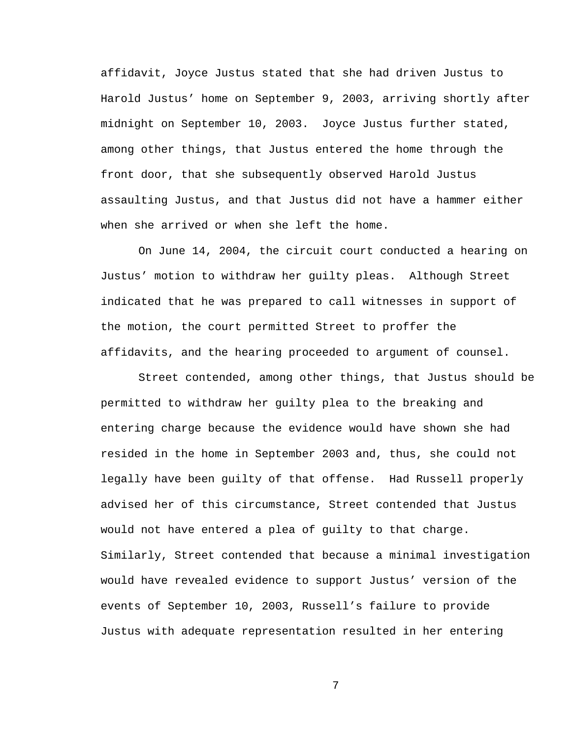affidavit, Joyce Justus stated that she had driven Justus to Harold Justus' home on September 9, 2003, arriving shortly after midnight on September 10, 2003. Joyce Justus further stated, among other things, that Justus entered the home through the front door, that she subsequently observed Harold Justus assaulting Justus, and that Justus did not have a hammer either when she arrived or when she left the home.

On June 14, 2004, the circuit court conducted a hearing on Justus' motion to withdraw her guilty pleas. Although Street indicated that he was prepared to call witnesses in support of the motion, the court permitted Street to proffer the affidavits, and the hearing proceeded to argument of counsel.

Street contended, among other things, that Justus should be permitted to withdraw her guilty plea to the breaking and entering charge because the evidence would have shown she had resided in the home in September 2003 and, thus, she could not legally have been guilty of that offense. Had Russell properly advised her of this circumstance, Street contended that Justus would not have entered a plea of guilty to that charge. Similarly, Street contended that because a minimal investigation would have revealed evidence to support Justus' version of the events of September 10, 2003, Russell's failure to provide Justus with adequate representation resulted in her entering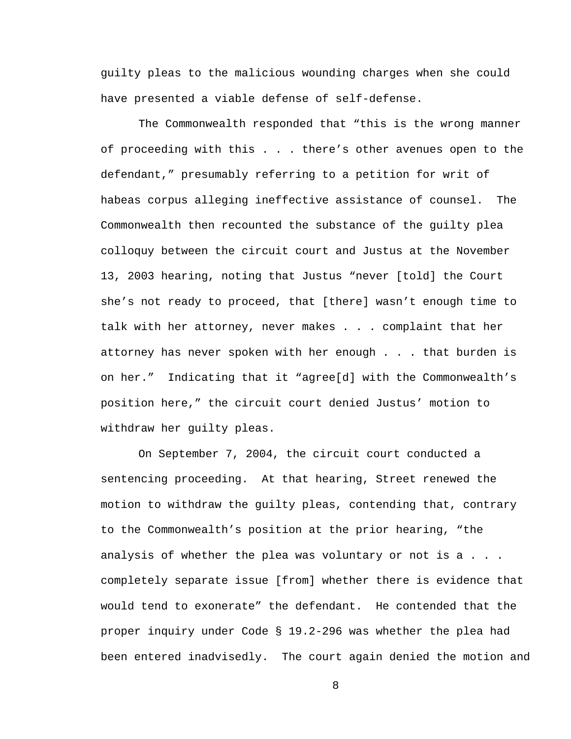guilty pleas to the malicious wounding charges when she could have presented a viable defense of self-defense.

The Commonwealth responded that "this is the wrong manner of proceeding with this . . . there's other avenues open to the defendant," presumably referring to a petition for writ of habeas corpus alleging ineffective assistance of counsel. The Commonwealth then recounted the substance of the guilty plea colloquy between the circuit court and Justus at the November 13, 2003 hearing, noting that Justus "never [told] the Court she's not ready to proceed, that [there] wasn't enough time to talk with her attorney, never makes . . . complaint that her attorney has never spoken with her enough . . . that burden is on her." Indicating that it "agree[d] with the Commonwealth's position here," the circuit court denied Justus' motion to withdraw her guilty pleas.

On September 7, 2004, the circuit court conducted a sentencing proceeding. At that hearing, Street renewed the motion to withdraw the guilty pleas, contending that, contrary to the Commonwealth's position at the prior hearing, "the analysis of whether the plea was voluntary or not is a . . . completely separate issue [from] whether there is evidence that would tend to exonerate" the defendant. He contended that the proper inquiry under Code § 19.2-296 was whether the plea had been entered inadvisedly. The court again denied the motion and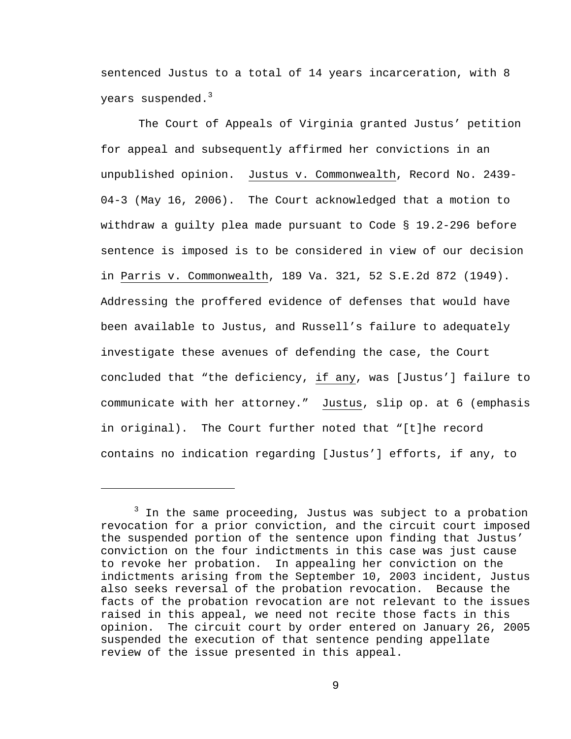sentenced Justus to a total of 14 years incarceration, with 8 years suspended. $3$ 

The Court of Appeals of Virginia granted Justus' petition for appeal and subsequently affirmed her convictions in an unpublished opinion. Justus v. Commonwealth, Record No. 2439- 04-3 (May 16, 2006). The Court acknowledged that a motion to withdraw a guilty plea made pursuant to Code § 19.2-296 before sentence is imposed is to be considered in view of our decision in Parris v. Commonwealth, 189 Va. 321, 52 S.E.2d 872 (1949). Addressing the proffered evidence of defenses that would have been available to Justus, and Russell's failure to adequately investigate these avenues of defending the case, the Court concluded that "the deficiency, if any, was [Justus'] failure to communicate with her attorney." Justus, slip op. at 6 (emphasis in original). The Court further noted that "[t]he record contains no indication regarding [Justus'] efforts, if any, to

i<br>Li

<sup>&</sup>lt;sup>3</sup> In the same proceeding, Justus was subject to a probation revocation for a prior conviction, and the circuit court imposed the suspended portion of the sentence upon finding that Justus' conviction on the four indictments in this case was just cause to revoke her probation. In appealing her conviction on the indictments arising from the September 10, 2003 incident, Justus also seeks reversal of the probation revocation. Because the facts of the probation revocation are not relevant to the issues raised in this appeal, we need not recite those facts in this opinion. The circuit court by order entered on January 26, 2005 suspended the execution of that sentence pending appellate review of the issue presented in this appeal.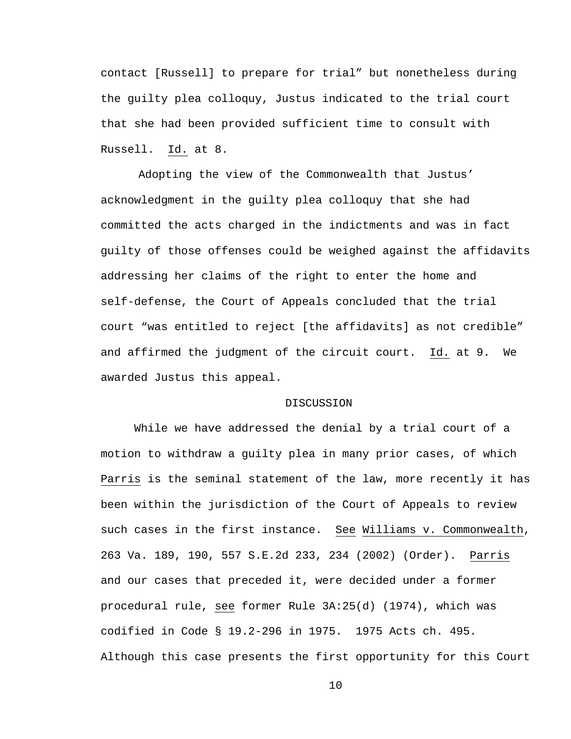contact [Russell] to prepare for trial" but nonetheless during the guilty plea colloquy, Justus indicated to the trial court that she had been provided sufficient time to consult with Russell. Id. at 8.

Adopting the view of the Commonwealth that Justus' acknowledgment in the guilty plea colloquy that she had committed the acts charged in the indictments and was in fact guilty of those offenses could be weighed against the affidavits addressing her claims of the right to enter the home and self-defense, the Court of Appeals concluded that the trial court "was entitled to reject [the affidavits] as not credible" and affirmed the judgment of the circuit court. Id. at 9. We awarded Justus this appeal.

## DISCUSSION

While we have addressed the denial by a trial court of a motion to withdraw a guilty plea in many prior cases, of which Parris is the seminal statement of the law, more recently it has been within the jurisdiction of the Court of Appeals to review such cases in the first instance. See Williams v. Commonwealth, 263 Va. 189, 190, 557 S.E.2d 233, 234 (2002) (Order). Parris and our cases that preceded it, were decided under a former procedural rule, see former Rule 3A:25(d) (1974), which was codified in Code § 19.2-296 in 1975. 1975 Acts ch. 495. Although this case presents the first opportunity for this Court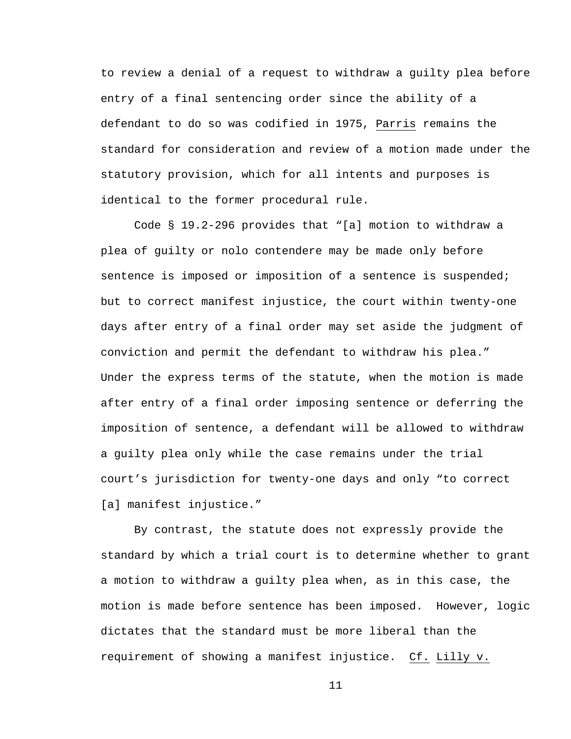to review a denial of a request to withdraw a guilty plea before entry of a final sentencing order since the ability of a defendant to do so was codified in 1975, Parris remains the standard for consideration and review of a motion made under the statutory provision, which for all intents and purposes is identical to the former procedural rule.

Code § 19.2-296 provides that "[a] motion to withdraw a plea of guilty or nolo contendere may be made only before sentence is imposed or imposition of a sentence is suspended; but to correct manifest injustice, the court within twenty-one days after entry of a final order may set aside the judgment of conviction and permit the defendant to withdraw his plea." Under the express terms of the statute, when the motion is made after entry of a final order imposing sentence or deferring the imposition of sentence, a defendant will be allowed to withdraw a guilty plea only while the case remains under the trial court's jurisdiction for twenty-one days and only "to correct [a] manifest injustice."

By contrast, the statute does not expressly provide the standard by which a trial court is to determine whether to grant a motion to withdraw a guilty plea when, as in this case, the motion is made before sentence has been imposed. However, logic dictates that the standard must be more liberal than the requirement of showing a manifest injustice. Cf. Lilly v.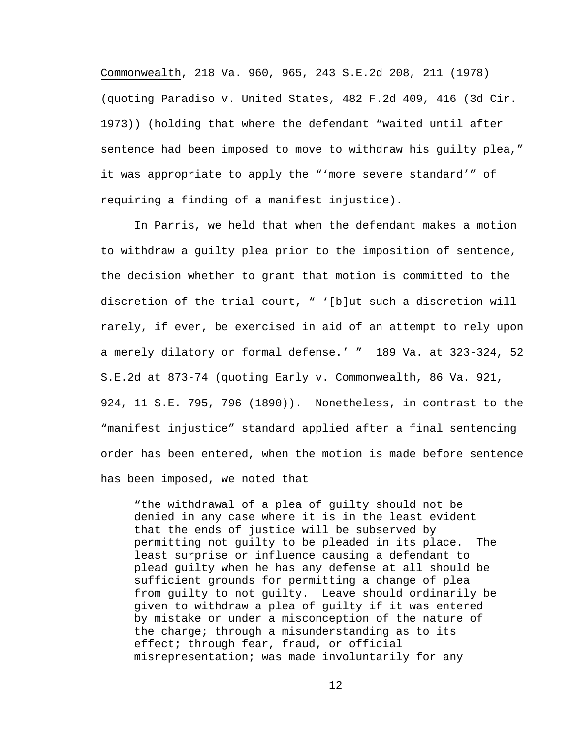Commonwealth, 218 Va. 960, 965, 243 S.E.2d 208, 211 (1978) (quoting Paradiso v. United States, 482 F.2d 409, 416 (3d Cir. 1973)) (holding that where the defendant "waited until after sentence had been imposed to move to withdraw his guilty plea," it was appropriate to apply the "'more severe standard'" of requiring a finding of a manifest injustice).

In Parris, we held that when the defendant makes a motion to withdraw a guilty plea prior to the imposition of sentence, the decision whether to grant that motion is committed to the discretion of the trial court, " '[b]ut such a discretion will rarely, if ever, be exercised in aid of an attempt to rely upon a merely dilatory or formal defense.' " 189 Va. at 323-324, 52 S.E.2d at 873-74 (quoting Early v. Commonwealth, 86 Va. 921, 924, 11 S.E. 795, 796 (1890)). Nonetheless, in contrast to the "manifest injustice" standard applied after a final sentencing order has been entered, when the motion is made before sentence has been imposed, we noted that

"the withdrawal of a plea of guilty should not be denied in any case where it is in the least evident that the ends of justice will be subserved by permitting not guilty to be pleaded in its place. The least surprise or influence causing a defendant to plead guilty when he has any defense at all should be sufficient grounds for permitting a change of plea from guilty to not guilty. Leave should ordinarily be given to withdraw a plea of guilty if it was entered by mistake or under a misconception of the nature of the charge; through a misunderstanding as to its effect; through fear, fraud, or official misrepresentation; was made involuntarily for any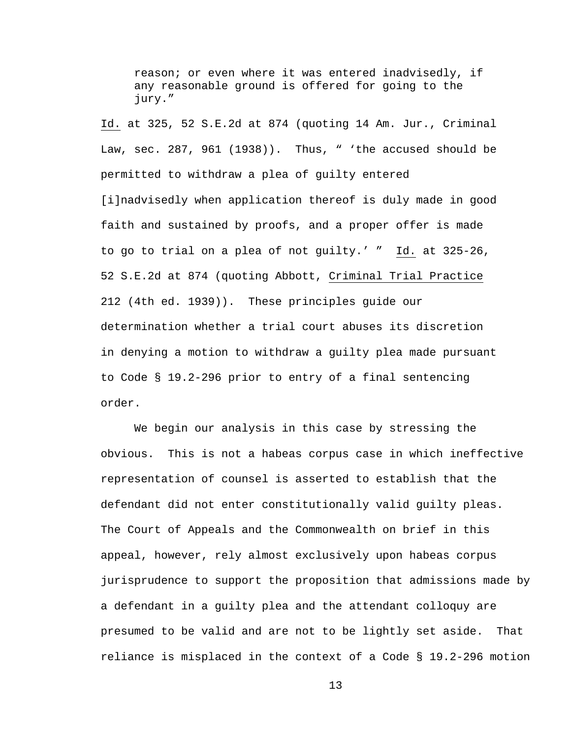reason; or even where it was entered inadvisedly, if any reasonable ground is offered for going to the jury."

Id. at 325, 52 S.E.2d at 874 (quoting 14 Am. Jur., Criminal Law, sec. 287, 961 (1938)). Thus, " 'the accused should be permitted to withdraw a plea of guilty entered [i]nadvisedly when application thereof is duly made in good faith and sustained by proofs, and a proper offer is made to go to trial on a plea of not guilty.' " Id. at 325-26, 52 S.E.2d at 874 (quoting Abbott, Criminal Trial Practice 212 (4th ed. 1939)). These principles guide our determination whether a trial court abuses its discretion in denying a motion to withdraw a guilty plea made pursuant to Code § 19.2-296 prior to entry of a final sentencing order.

We begin our analysis in this case by stressing the obvious. This is not a habeas corpus case in which ineffective representation of counsel is asserted to establish that the defendant did not enter constitutionally valid guilty pleas. The Court of Appeals and the Commonwealth on brief in this appeal, however, rely almost exclusively upon habeas corpus jurisprudence to support the proposition that admissions made by a defendant in a guilty plea and the attendant colloquy are presumed to be valid and are not to be lightly set aside. That reliance is misplaced in the context of a Code § 19.2-296 motion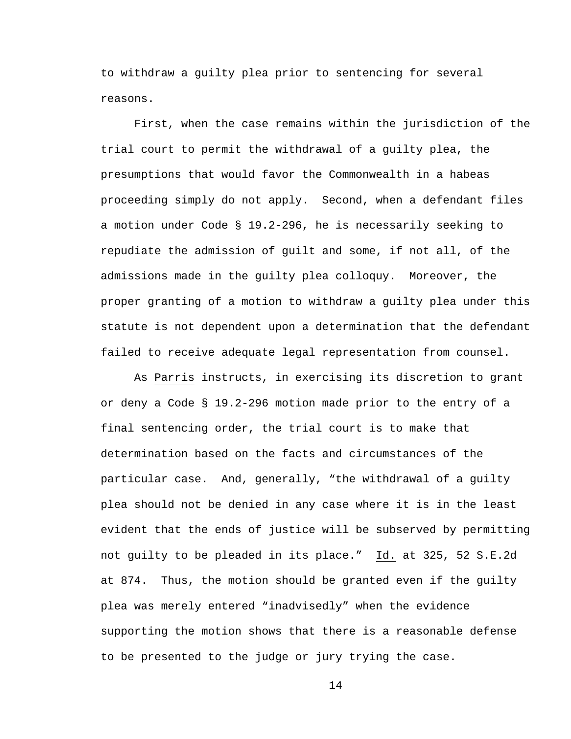to withdraw a guilty plea prior to sentencing for several reasons.

First, when the case remains within the jurisdiction of the trial court to permit the withdrawal of a guilty plea, the presumptions that would favor the Commonwealth in a habeas proceeding simply do not apply. Second, when a defendant files a motion under Code § 19.2-296, he is necessarily seeking to repudiate the admission of guilt and some, if not all, of the admissions made in the guilty plea colloquy. Moreover, the proper granting of a motion to withdraw a guilty plea under this statute is not dependent upon a determination that the defendant failed to receive adequate legal representation from counsel.

As Parris instructs, in exercising its discretion to grant or deny a Code § 19.2-296 motion made prior to the entry of a final sentencing order, the trial court is to make that determination based on the facts and circumstances of the particular case. And, generally, "the withdrawal of a guilty plea should not be denied in any case where it is in the least evident that the ends of justice will be subserved by permitting not guilty to be pleaded in its place." Id. at 325, 52 S.E.2d at 874. Thus, the motion should be granted even if the guilty plea was merely entered "inadvisedly" when the evidence supporting the motion shows that there is a reasonable defense to be presented to the judge or jury trying the case.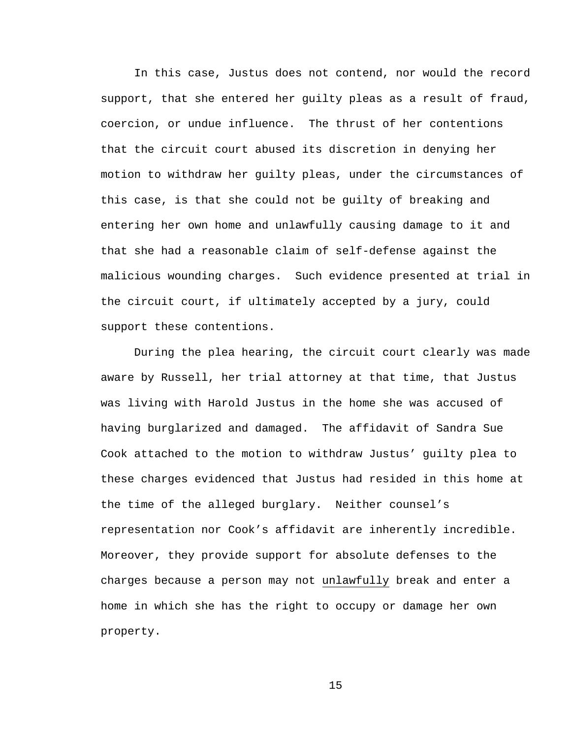In this case, Justus does not contend, nor would the record support, that she entered her guilty pleas as a result of fraud, coercion, or undue influence. The thrust of her contentions that the circuit court abused its discretion in denying her motion to withdraw her guilty pleas, under the circumstances of this case, is that she could not be guilty of breaking and entering her own home and unlawfully causing damage to it and that she had a reasonable claim of self-defense against the malicious wounding charges. Such evidence presented at trial in the circuit court, if ultimately accepted by a jury, could support these contentions.

During the plea hearing, the circuit court clearly was made aware by Russell, her trial attorney at that time, that Justus was living with Harold Justus in the home she was accused of having burglarized and damaged. The affidavit of Sandra Sue Cook attached to the motion to withdraw Justus' guilty plea to these charges evidenced that Justus had resided in this home at the time of the alleged burglary. Neither counsel's representation nor Cook's affidavit are inherently incredible. Moreover, they provide support for absolute defenses to the charges because a person may not unlawfully break and enter a home in which she has the right to occupy or damage her own property.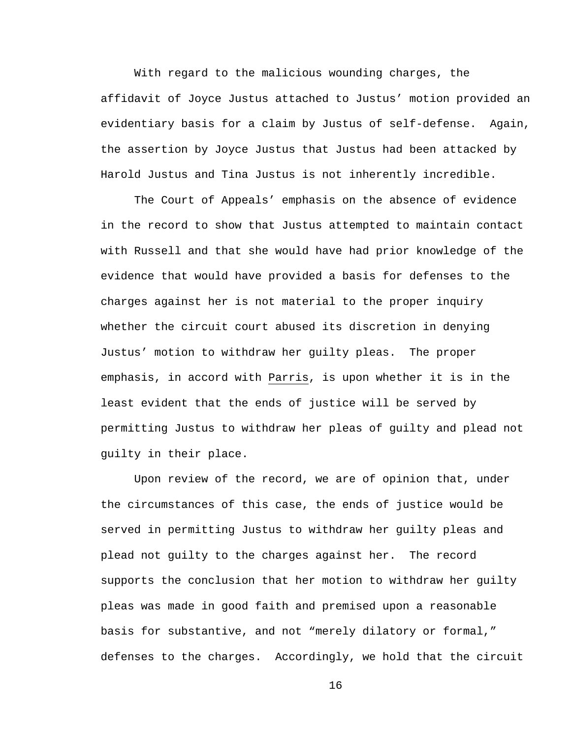With regard to the malicious wounding charges, the affidavit of Joyce Justus attached to Justus' motion provided an evidentiary basis for a claim by Justus of self-defense. Again, the assertion by Joyce Justus that Justus had been attacked by Harold Justus and Tina Justus is not inherently incredible.

The Court of Appeals' emphasis on the absence of evidence in the record to show that Justus attempted to maintain contact with Russell and that she would have had prior knowledge of the evidence that would have provided a basis for defenses to the charges against her is not material to the proper inquiry whether the circuit court abused its discretion in denying Justus' motion to withdraw her guilty pleas. The proper emphasis, in accord with Parris, is upon whether it is in the least evident that the ends of justice will be served by permitting Justus to withdraw her pleas of guilty and plead not guilty in their place.

Upon review of the record, we are of opinion that, under the circumstances of this case, the ends of justice would be served in permitting Justus to withdraw her guilty pleas and plead not guilty to the charges against her. The record supports the conclusion that her motion to withdraw her guilty pleas was made in good faith and premised upon a reasonable basis for substantive, and not "merely dilatory or formal," defenses to the charges. Accordingly, we hold that the circuit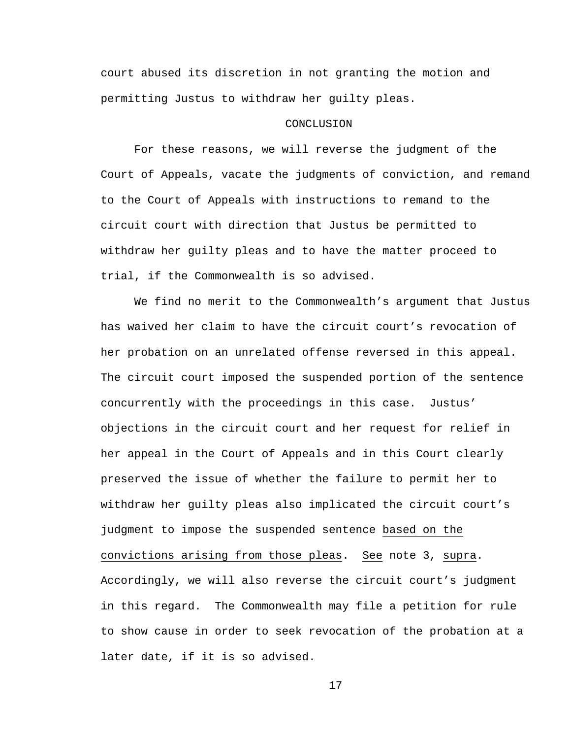court abused its discretion in not granting the motion and permitting Justus to withdraw her guilty pleas.

## **CONCLUSION**

For these reasons, we will reverse the judgment of the Court of Appeals, vacate the judgments of conviction, and remand to the Court of Appeals with instructions to remand to the circuit court with direction that Justus be permitted to withdraw her guilty pleas and to have the matter proceed to trial, if the Commonwealth is so advised.

We find no merit to the Commonwealth's argument that Justus has waived her claim to have the circuit court's revocation of her probation on an unrelated offense reversed in this appeal. The circuit court imposed the suspended portion of the sentence concurrently with the proceedings in this case. Justus' objections in the circuit court and her request for relief in her appeal in the Court of Appeals and in this Court clearly preserved the issue of whether the failure to permit her to withdraw her guilty pleas also implicated the circuit court's judgment to impose the suspended sentence based on the convictions arising from those pleas. See note 3, supra. Accordingly, we will also reverse the circuit court's judgment in this regard. The Commonwealth may file a petition for rule to show cause in order to seek revocation of the probation at a later date, if it is so advised.